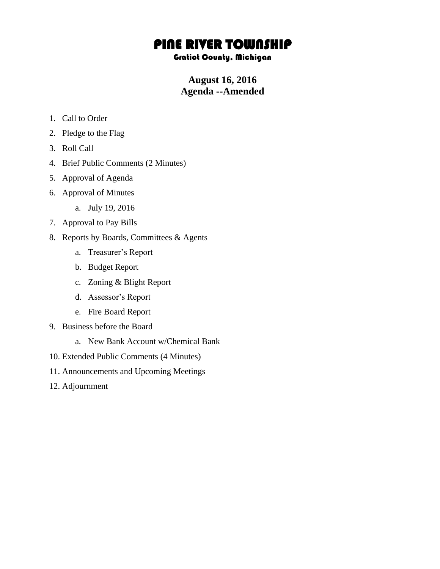## PINE RIVER TOWNSHIP

## Gratiot County, Michigan

## **August 16, 2016 Agenda --Amended**

- 1. Call to Order
- 2. Pledge to the Flag
- 3. Roll Call
- 4. Brief Public Comments (2 Minutes)
- 5. Approval of Agenda
- 6. Approval of Minutes
	- a. July 19, 2016
- 7. Approval to Pay Bills
- 8. Reports by Boards, Committees & Agents
	- a. Treasurer's Report
	- b. Budget Report
	- c. Zoning & Blight Report
	- d. Assessor's Report
	- e. Fire Board Report
- 9. Business before the Board
	- a. New Bank Account w/Chemical Bank
- 10. Extended Public Comments (4 Minutes)
- 11. Announcements and Upcoming Meetings
- 12. Adjournment